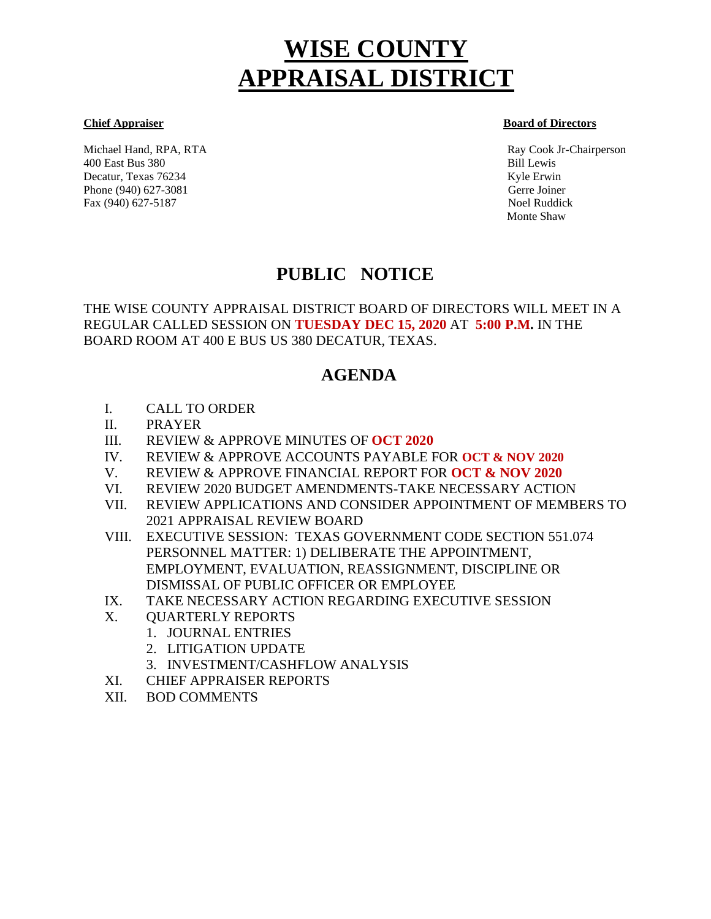# **WISE COUNTY APPRAISAL DISTRICT**

Michael Hand, RPA, RTA Ray Cook Jr-Chairperson 400 East Bus 380 Bill Lewis Decatur, Texas 76234 Kyle Erwin Kyle Erwin Kyle Erwin Kyle Erwin Kyle Erwin Kyle Erwin Kyle Erwin Kyle Erwin Kyle Erwin Kyle Erwin Kyle Erwin Kyle Erwin Kyle Erwin Kyle Erwin Kyle Erwin Kyle Erwin Kyle Erwin Kyle Erwin Kyl Phone (940) 627-3081 Gerre Joiner Fax (940) 627-5187 Noel Ruddick

#### **Chief Appraiser Board of Directors**

Monte Shaw

## **PUBLIC NOTICE**

THE WISE COUNTY APPRAISAL DISTRICT BOARD OF DIRECTORS WILL MEET IN A REGULAR CALLED SESSION ON **TUESDAY DEC 15, 2020** AT **5:00 P.M.** IN THE BOARD ROOM AT 400 E BUS US 380 DECATUR, TEXAS.

## **AGENDA**

- I. CALL TO ORDER
- II. PRAYER
- III. REVIEW & APPROVE MINUTES OF **OCT 2020**
- IV. REVIEW & APPROVE ACCOUNTS PAYABLE FOR **OCT & NOV 2020**
- V. REVIEW & APPROVE FINANCIAL REPORT FOR **OCT & NOV 2020**
- VI. REVIEW 2020 BUDGET AMENDMENTS-TAKE NECESSARY ACTION
- VII. REVIEW APPLICATIONS AND CONSIDER APPOINTMENT OF MEMBERS TO 2021 APPRAISAL REVIEW BOARD
- VIII. EXECUTIVE SESSION: TEXAS GOVERNMENT CODE SECTION 551.074 PERSONNEL MATTER: 1) DELIBERATE THE APPOINTMENT, EMPLOYMENT, EVALUATION, REASSIGNMENT, DISCIPLINE OR DISMISSAL OF PUBLIC OFFICER OR EMPLOYEE
- IX. TAKE NECESSARY ACTION REGARDING EXECUTIVE SESSION
- X. QUARTERLY REPORTS
	- 1. JOURNAL ENTRIES
	- 2. LITIGATION UPDATE
	- 3. INVESTMENT/CASHFLOW ANALYSIS
- XI. CHIEF APPRAISER REPORTS
- XII. BOD COMMENTS